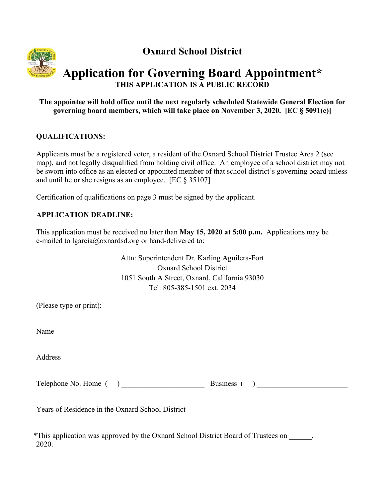

**Oxnard School District** 

# **Application for Governing Board Appointment\* THIS APPLICATION IS A PUBLIC RECORD**

### **The appointee will hold office until the next regularly scheduled Statewide General Election for governing board members, which will take place on November 3, 2020. [EC § 5091(e)]**

# **QUALIFICATIONS:**

Applicants must be a registered voter, a resident of the Oxnard School District Trustee Area 2 (see map), and not legally disqualified from holding civil office. An employee of a school district may not be sworn into office as an elected or appointed member of that school district's governing board unless and until he or she resigns as an employee. [EC § 35107]

Certification of qualifications on page 3 must be signed by the applicant.

# **APPLICATION DEADLINE:**

This application must be received no later than **May 15, 2020 at 5:00 p.m.** Applications may be e-mailed to lgarcia@oxnardsd.org or hand-delivered to:

> Attn: Superintendent Dr. Karling Aguilera-Fort Oxnard School District 1051 South A Street, Oxnard, California 93030 Tel: 805-385-1501 ext. 2034

| (Please type or print):                                                                            |  |
|----------------------------------------------------------------------------------------------------|--|
| Name                                                                                               |  |
|                                                                                                    |  |
|                                                                                                    |  |
| Years of Residence in the Oxnard School District________________________________                   |  |
| *This application was approved by the Oxnard School District Board of Trustees on ______,<br>2020. |  |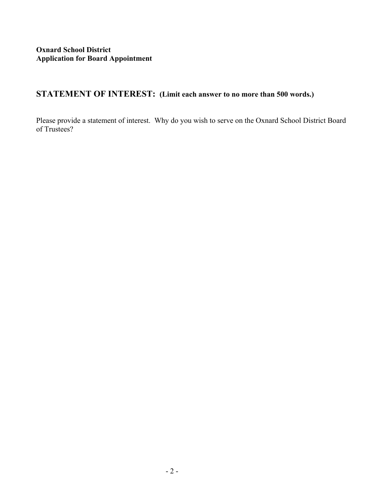# **STATEMENT OF INTEREST: (Limit each answer to no more than 500 words.)**

Please provide a statement of interest. Why do you wish to serve on the Oxnard School District Board of Trustees?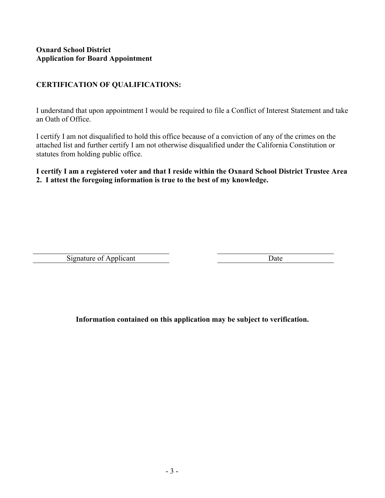#### **Oxnard School District Application for Board Appointment**

# **CERTIFICATION OF QUALIFICATIONS:**

I understand that upon appointment I would be required to file a Conflict of Interest Statement and take an Oath of Office.

I certify I am not disqualified to hold this office because of a conviction of any of the crimes on the attached list and further certify I am not otherwise disqualified under the California Constitution or statutes from holding public office.

### **I certify I am a registered voter and that I reside within the Oxnard School District Trustee Area 2. I attest the foregoing information is true to the best of my knowledge.**

Signature of Applicant Date

**Information contained on this application may be subject to verification.**